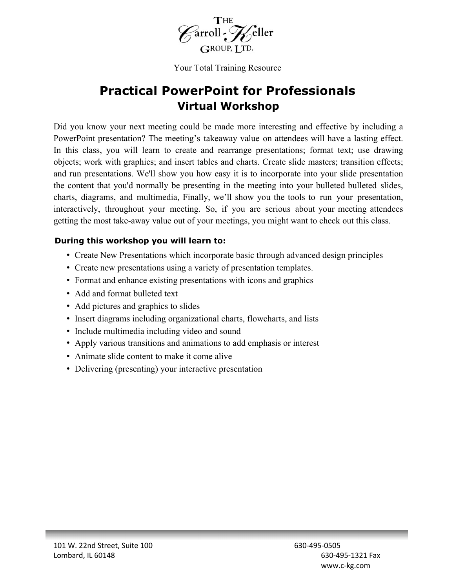

Your Total Training Resource

# **Practical PowerPoint for Professionals Virtual Workshop**

Did you know your next meeting could be made more interesting and effective by including a PowerPoint presentation? The meeting's takeaway value on attendees will have a lasting effect. In this class, you will learn to create and rearrange presentations; format text; use drawing objects; work with graphics; and insert tables and charts. Create slide masters; transition effects; and run presentations. We'll show you how easy it is to incorporate into your slide presentation the content that you'd normally be presenting in the meeting into your bulleted bulleted slides, charts, diagrams, and multimedia, Finally, we'll show you the tools to run your presentation, interactively, throughout your meeting. So, if you are serious about your meeting attendees getting the most take-away value out of your meetings, you might want to check out this class.

### **During this workshop you will learn to:**

- Create New Presentations which incorporate basic through advanced design principles
- Create new presentations using a variety of presentation templates.
- Format and enhance existing presentations with icons and graphics
- Add and format bulleted text
- Add pictures and graphics to slides
- Insert diagrams including organizational charts, flowcharts, and lists
- Include multimedia including video and sound
- Apply various transitions and animations to add emphasis or interest
- Animate slide content to make it come alive
- Delivering (presenting) your interactive presentation